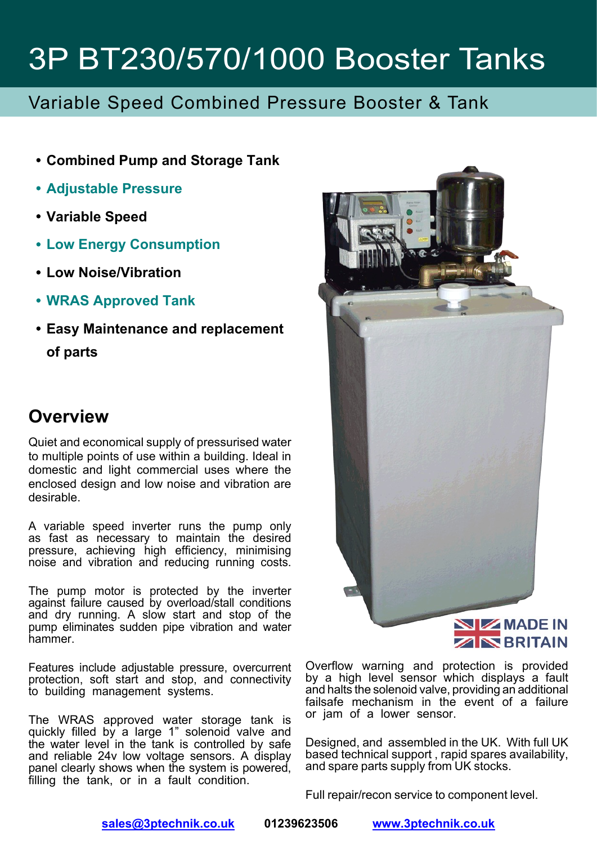### Variable Speed Combined Pressure Booster & Tank

- **Combined Pump and Storage Tank**
- **Adjustable Pressure**
- **Variable Speed**
- **Low Energy Consumption**
- **Low Noise/Vibration**
- **WRAS Approved Tank**
- **Easy Maintenance and replacement of parts**

#### **Overview**

Quiet and economical supply of pressurised water to multiple points of use within a building. Ideal in domestic and light commercial uses where the enclosed design and low noise and vibration are desirable.

A variable speed inverter runs the pump only as fast as necessary to maintain the desired pressure, achieving high efficiency, minimising noise and vibration and reducing running costs.

The pump motor is protected by the inverter against failure caused by overload/stall conditions and dry running. A slow start and stop of the pump eliminates sudden pipe vibration and water hammer.

Features include adjustable pressure, overcurrent protection, soft start and stop, and connectivity to building management systems.

The WRAS approved water storage tank is quickly filled by a large 1" solenoid valve and the water level in the tank is controlled by safe and reliable 24v low voltage sensors. A display panel clearly shows when the system is powered, filling the tank, or in a fault condition.



Overflow warning and protection is provided by a high level sensor which displays a fault and halts the solenoid valve, providing an additional failsafe mechanism in the event of a failure or jam of a lower sensor.

Designed, and assembled in the UK. With full UK based technical support , rapid spares availability, and spare parts supply from UK stocks.

Full repair/recon service to component level.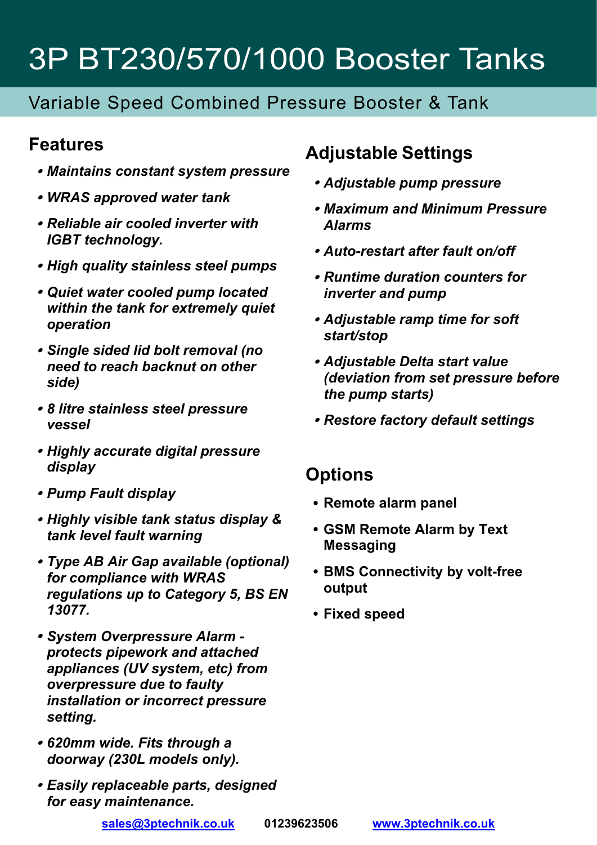### Variable Speed Combined Pressure Booster & Tank

#### **Features**

- *Maintains constant system pressure*
- *WRAS approved water tank*
- *Reliable air cooled inverter with IGBT technology.*
- *High quality stainless steel pumps*
- *Quiet water cooled pump located within the tank for extremely quiet operation*
- *Single sided lid bolt removal (no need to reach backnut on other side)*
- *8 litre stainless steel pressure vessel*
- *Highly accurate digital pressure display*
- *Pump Fault display*
- *Highly visible tank status display & tank level fault warning*
- *Type AB Air Gap available (optional) for compliance with WRAS regulations up to Category 5, BS EN 13077.*
- *System Overpressure Alarm protects pipework and attached appliances (UV system, etc) from overpressure due to faulty installation or incorrect pressure setting.*
- *620mm wide. Fits through a doorway (230L models only).*
- *Easily replaceable parts, designed for easy maintenance.*

### **Adjustable Settings**

- *Adjustable pump pressure*
- *Maximum and Minimum Pressure Alarms*
- *Auto-restart after fault on/off*
- *Runtime duration counters for inverter and pump*
- *Adjustable ramp time for soft start/stop*
- *Adjustable Delta start value (deviation from set pressure before the pump starts)*
- *Restore factory default settings*

#### **Options**

- **Remote alarm panel**
- **GSM Remote Alarm by Text Messaging**
- **BMS Connectivity by volt-free output**
- **Fixed speed**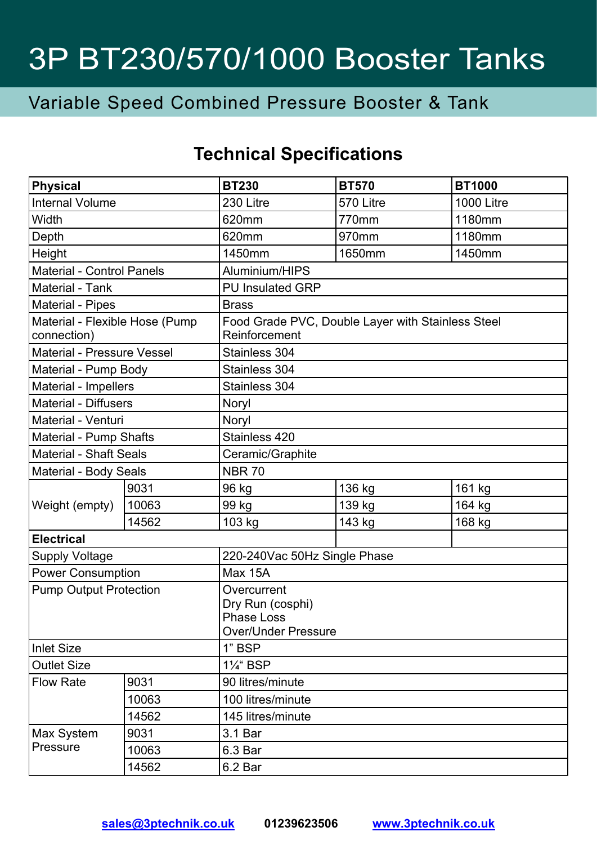### Variable Speed Combined Pressure Booster & Tank

### **Technical Specifications**

| Physical                                      |       | <b>BT230</b>                                                                       | <b>BT570</b> | <b>BT1000</b>     |  |
|-----------------------------------------------|-------|------------------------------------------------------------------------------------|--------------|-------------------|--|
| <b>Internal Volume</b>                        |       | 230 Litre                                                                          | 570 Litre    | <b>1000 Litre</b> |  |
| Width                                         |       | 620mm                                                                              | 770mm        | 1180mm            |  |
| Depth                                         |       | 620mm                                                                              | 970mm        | 1180mm            |  |
| Height                                        |       | 1450mm                                                                             | 1650mm       | 1450mm            |  |
| Material - Control Panels                     |       | Aluminium/HIPS                                                                     |              |                   |  |
| Material - Tank                               |       | <b>PU Insulated GRP</b>                                                            |              |                   |  |
| Material - Pipes                              |       | <b>Brass</b>                                                                       |              |                   |  |
| Material - Flexible Hose (Pump<br>connection) |       | Food Grade PVC, Double Layer with Stainless Steel<br>Reinforcement                 |              |                   |  |
| Material - Pressure Vessel                    |       | Stainless 304                                                                      |              |                   |  |
| Material - Pump Body                          |       | Stainless 304                                                                      |              |                   |  |
| Material - Impellers                          |       | Stainless 304                                                                      |              |                   |  |
| Material - Diffusers                          |       | Noryl                                                                              |              |                   |  |
| Material - Venturi                            |       | Noryl                                                                              |              |                   |  |
| Material - Pump Shafts                        |       | Stainless 420                                                                      |              |                   |  |
| <b>Material - Shaft Seals</b>                 |       | Ceramic/Graphite                                                                   |              |                   |  |
| Material - Body Seals                         |       | <b>NBR 70</b>                                                                      |              |                   |  |
| Weight (empty)                                | 9031  | 96 kg                                                                              | 136 kg       | 161 kg            |  |
|                                               | 10063 | 99 kg                                                                              | 139 kg       | 164 kg            |  |
|                                               | 14562 | 103 kg                                                                             | 143 kg       | 168 kg            |  |
| <b>Electrical</b>                             |       |                                                                                    |              |                   |  |
| Supply Voltage                                |       | 220-240Vac 50Hz Single Phase                                                       |              |                   |  |
| <b>Power Consumption</b>                      |       | Max 15A                                                                            |              |                   |  |
| <b>Pump Output Protection</b>                 |       | Overcurrent<br>Dry Run (cosphi)<br><b>Phase Loss</b><br><b>Over/Under Pressure</b> |              |                   |  |
| Inlet Size                                    |       | 1" BSP                                                                             |              |                   |  |
| <b>Outlet Size</b>                            |       | 11/ <sub>4</sub> " BSP                                                             |              |                   |  |
| <b>Flow Rate</b>                              | 9031  | 90 litres/minute                                                                   |              |                   |  |
|                                               | 10063 | 100 litres/minute                                                                  |              |                   |  |
|                                               | 14562 | 145 litres/minute                                                                  |              |                   |  |
| Max System<br>Pressure                        | 9031  | 3.1 Bar                                                                            |              |                   |  |
|                                               | 10063 | 6.3 Bar                                                                            |              |                   |  |
|                                               | 14562 | 6.2 Bar                                                                            |              |                   |  |